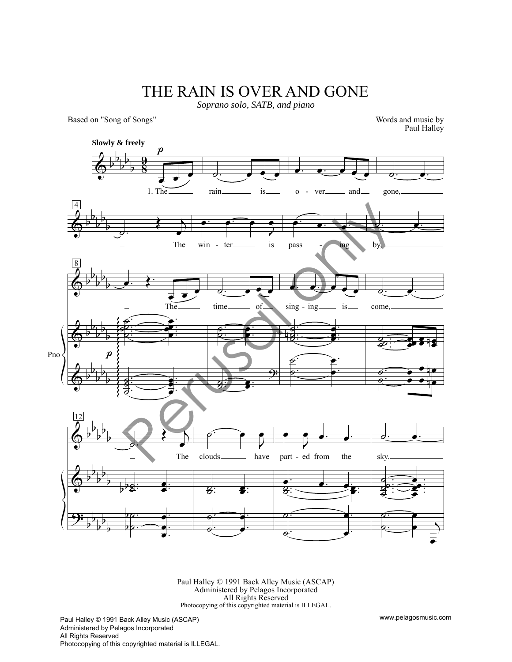## THE RAIN IS OVER AND GONE

*Soprano solo, SATB, and piano*

Based on "Song of Songs"

Words and music by Paul Halley



Paul Halley © 1991 Back Alley Music (ASCAP) Administered by Pelagos Incorporated All Rights Reserved Photocopying of this copyrighted material is ILLEGAL.

Paul Halley © 1991 Back Alley Music (ASCAP) Administered by Pelagos Incorporated All Rights Reserved Photocopying of this copyrighted material is ILLEGAL. www.pelagosmusic.com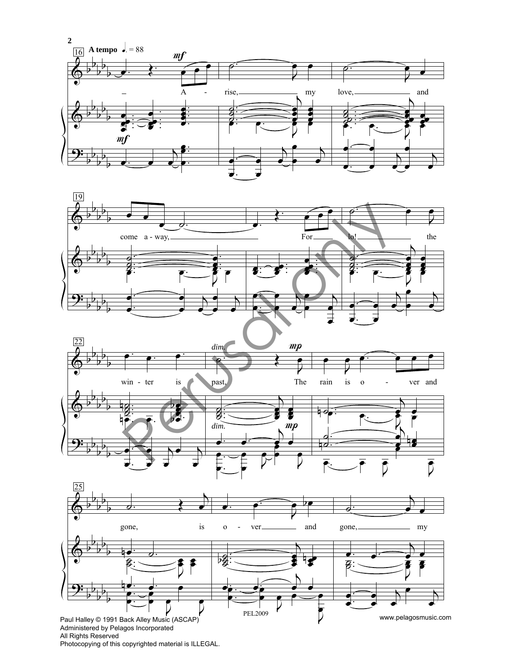







All Rights Reserved Photocopying of this copyrighted material is ILLEGAL.